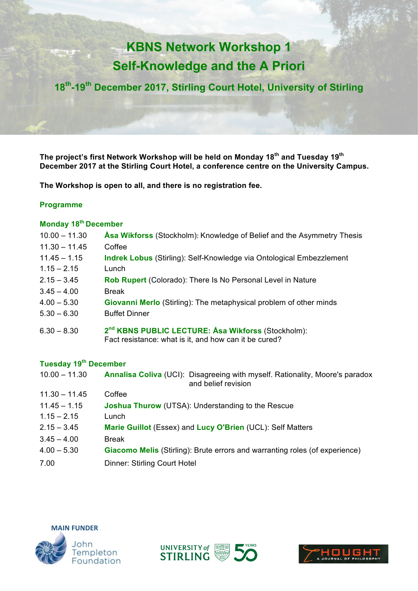# **KBNS Network Workshop 1 Self-Knowledge and the A Priori**

**18th-19th December 2017, Stirling Court Hotel, University of Stirling**

**The project's first Network Workshop will be held on Monday 18th and Tuesday 19th December 2017 at the Stirling Court Hotel, a conference centre on the University Campus.** 

**The Workshop is open to all, and there is no registration fee.** 

#### **Programme**

### **Monday 18th December**

| $10.00 - 11.30$ | Asa Wikforss (Stockholm): Knowledge of Belief and the Asymmetry Thesis                                                  |
|-----------------|-------------------------------------------------------------------------------------------------------------------------|
| $11.30 - 11.45$ | Coffee                                                                                                                  |
| $11.45 - 1.15$  | <b>Indrek Lobus</b> (Stirling): Self-Knowledge via Ontological Embezzlement                                             |
| $1.15 - 2.15$   | Lunch                                                                                                                   |
| $2.15 - 3.45$   | Rob Rupert (Colorado): There Is No Personal Level in Nature                                                             |
| $3.45 - 4.00$   | <b>Break</b>                                                                                                            |
| $4.00 - 5.30$   | <b>Giovanni Merlo</b> (Stirling): The metaphysical problem of other minds                                               |
| $5.30 - 6.30$   | <b>Buffet Dinner</b>                                                                                                    |
| $6.30 - 8.30$   | 2 <sup>nd</sup> KBNS PUBLIC LECTURE: Asa Wikforss (Stockholm):<br>Fact resistance: what is it, and how can it be cured? |

#### **Tuesday 19th December**

| $10.00 - 11.30$ | Annalisa Coliva (UCI): Disagreeing with myself. Rationality, Moore's paradox<br>and belief revision |
|-----------------|-----------------------------------------------------------------------------------------------------|
| $11.30 - 11.45$ | Coffee                                                                                              |
| $11.45 - 1.15$  | <b>Joshua Thurow</b> (UTSA): Understanding to the Rescue                                            |
| $1.15 - 2.15$   | Lunch                                                                                               |
| $2.15 - 3.45$   | Marie Guillot (Essex) and Lucy O'Brien (UCL): Self Matters                                          |
| $3.45 - 4.00$   | <b>Break</b>                                                                                        |
| $4.00 - 5.30$   | <b>Giacomo Melis</b> (Stirling): Brute errors and warranting roles (of experience)                  |
| 7.00            | <b>Dinner: Stirling Court Hotel</b>                                                                 |





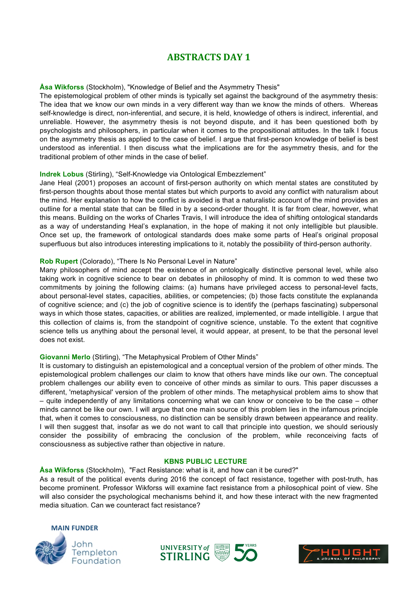## **ABSTRACTS DAY 1**

#### **Åsa Wikforss** (Stockholm), "Knowledge of Belief and the Asymmetry Thesis"

The epistemological problem of other minds is typically set against the background of the asymmetry thesis: The idea that we know our own minds in a very different way than we know the minds of others. Whereas self-knowledge is direct, non-inferential, and secure, it is held, knowledge of others is indirect, inferential, and unreliable. However, the asymmetry thesis is not beyond dispute, and it has been questioned both by psychologists and philosophers, in particular when it comes to the propositional attitudes. In the talk I focus on the asymmetry thesis as applied to the case of belief. I argue that first-person knowledge of belief is best understood as inferential. I then discuss what the implications are for the asymmetry thesis, and for the traditional problem of other minds in the case of belief.

#### **Indrek Lobus** (Stirling), "Self-Knowledge via Ontological Embezzlement"

Jane Heal (2001) proposes an account of first-person authority on which mental states are constituted by first-person thoughts about those mental states but which purports to avoid any conflict with naturalism about the mind. Her explanation to how the conflict is avoided is that a naturalistic account of the mind provides an outline for a mental state that can be filled in by a second-order thought. It is far from clear, however, what this means. Building on the works of Charles Travis, I will introduce the idea of shifting ontological standards as a way of understanding Heal's explanation, in the hope of making it not only intelligible but plausible. Once set up, the framework of ontological standards does make some parts of Heal's original proposal superfluous but also introduces interesting implications to it, notably the possibility of third-person authority.

#### **Rob Rupert** (Colorado), "There Is No Personal Level in Nature"

Many philosophers of mind accept the existence of an ontologically distinctive personal level, while also taking work in cognitive science to bear on debates in philosophy of mind. It is common to wed these two commitments by joining the following claims: (a) humans have privileged access to personal-level facts, about personal-level states, capacities, abilities, or competencies; (b) those facts constitute the explananda of cognitive science; and (c) the job of cognitive science is to identify the (perhaps fascinating) subpersonal ways in which those states, capacities, or abilities are realized, implemented, or made intelligible. I argue that this collection of claims is, from the standpoint of cognitive science, unstable. To the extent that cognitive science tells us anything about the personal level, it would appear, at present, to be that the personal level does not exist.

#### **Giovanni Merlo** (Stirling), "The Metaphysical Problem of Other Minds"

It is customary to distinguish an epistemological and a conceptual version of the problem of other minds. The epistemological problem challenges our claim to know that others have minds like our own. The conceptual problem challenges our ability even to conceive of other minds as similar to ours. This paper discusses a different, 'metaphysical' version of the problem of other minds. The metaphysical problem aims to show that – quite independently of any limitations concerning what we can know or conceive to be the case – other minds cannot be like our own. I will argue that one main source of this problem lies in the infamous principle that, when it comes to consciousness, no distinction can be sensibly drawn between appearance and reality. I will then suggest that, insofar as we do not want to call that principle into question, we should seriously consider the possibility of embracing the conclusion of the problem, while reconceiving facts of consciousness as subjective rather than objective in nature.

#### **KBNS PUBLIC LECTURE**

**Åsa Wikforss** (Stockholm), "Fact Resistance: what is it, and how can it be cured?"

As a result of the political events during 2016 the concept of fact resistance, together with post-truth, has become prominent. Professor Wikforss will examine fact resistance from a philosophical point of view. She will also consider the psychological mechanisms behind it, and how these interact with the new fragmented media situation. Can we counteract fact resistance?





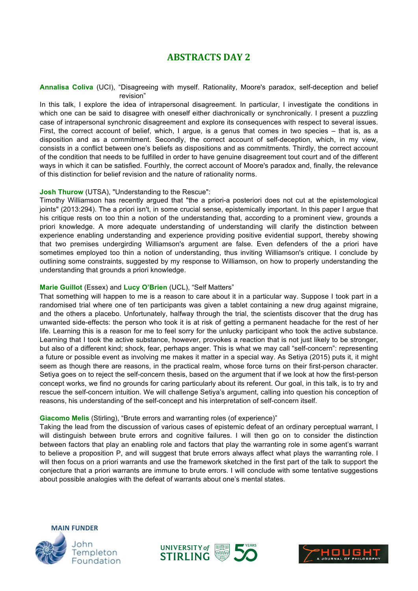### **ABSTRACTS DAY 2**

**Annalisa Coliva** (UCI), "Disagreeing with myself. Rationality, Moore's paradox, self-deception and belief revision"

In this talk, I explore the idea of intrapersonal disagreement. In particular, I investigate the conditions in which one can be said to disagree with oneself either diachronically or synchronically. I present a puzzling case of intrapersonal synchronic disagreement and explore its consequences with respect to several issues. First, the correct account of belief, which, I argue, is a genus that comes in two species – that is, as a disposition and as a commitment. Secondly, the correct account of self-deception, which, in my view, consists in a conflict between one's beliefs as dispositions and as commitments. Thirdly, the correct account of the condition that needs to be fulfilled in order to have genuine disagreement tout court and of the different ways in which it can be satisfied. Fourthly, the correct account of Moore's paradox and, finally, the relevance of this distinction for belief revision and the nature of rationality norms.

#### **Josh Thurow** (UTSA), "Understanding to the Rescue":

Timothy Williamson has recently argued that "the a priori-a posteriori does not cut at the epistemological joints" (2013:294). The a priori isn't, in some crucial sense, epistemically important. In this paper I argue that his critique rests on too thin a notion of the understanding that, according to a prominent view, grounds a priori knowledge. A more adequate understanding of understanding will clarify the distinction between experience enabling understanding and experience providing positive evidential support, thereby showing that two premises undergirding Williamson's argument are false. Even defenders of the a priori have sometimes employed too thin a notion of understanding, thus inviting Williamson's critique. I conclude by outlining some constraints, suggested by my response to Williamson, on how to properly understanding the understanding that grounds a priori knowledge.

#### **Marie Guillot** (Essex) and **Lucy O'Brien** (UCL), "Self Matters"

That something will happen to me is a reason to care about it in a particular way. Suppose I took part in a randomised trial where one of ten participants was given a tablet containing a new drug against migraine, and the others a placebo. Unfortunately, halfway through the trial, the scientists discover that the drug has unwanted side-effects: the person who took it is at risk of getting a permanent headache for the rest of her life. Learning this is a reason for me to feel sorry for the unlucky participant who took the active substance. Learning that I took the active substance, however, provokes a reaction that is not just likely to be stronger, but also of a different kind; shock, fear, perhaps anger. This is what we may call "self-concern": representing a future or possible event as involving me makes it matter in a special way. As Setiya (2015) puts it, it might seem as though there are reasons, in the practical realm, whose force turns on their first-person character. Setiya goes on to reject the self-concern thesis, based on the argument that if we look at how the first-person concept works, we find no grounds for caring particularly about its referent. Our goal, in this talk, is to try and rescue the self-concern intuition. We will challenge Setiya's argument, calling into question his conception of reasons, his understanding of the self-concept and his interpretation of self-concern itself.

#### **Giacomo Melis** (Stirling), "Brute errors and warranting roles (of experience)"

Taking the lead from the discussion of various cases of epistemic defeat of an ordinary perceptual warrant, I will distinguish between brute errors and cognitive failures. I will then go on to consider the distinction between factors that play an enabling role and factors that play the warranting role in some agent's warrant to believe a proposition P, and will suggest that brute errors always affect what plays the warranting role. I will then focus on a priori warrants and use the framework sketched in the first part of the talk to support the conjecture that a priori warrants are immune to brute errors. I will conclude with some tentative suggestions about possible analogies with the defeat of warrants about one's mental states.





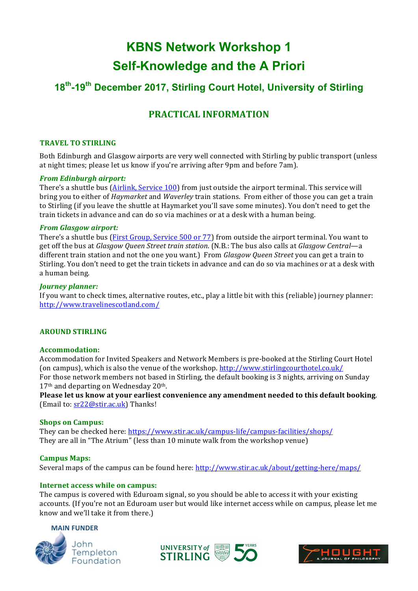## **KBNS Network Workshop 1 Self-Knowledge and the A Priori**

## **18th-19th December 2017, Stirling Court Hotel, University of Stirling**

## **PRACTICAL INFORMATION**

#### **TRAVEL TO STIRLING**

Both Edinburgh and Glasgow airports are very well connected with Stirling by public transport (unless at night times; please let us know if you're arriving after 9pm and before 7am).

#### *From Edinburgh airport:*

There's a shuttle bus (*Airlink, Service 100*) from just outside the airport terminal. This service will bring you to either of *Haymarket* and *Waverley* train stations. From either of those you can get a train to Stirling (if you leave the shuttle at Haymarket you'll save some minutes). You don't need to get the train tickets in advance and can do so via machines or at a desk with a human being.

#### *From Glasgow airport:*

There's a shuttle bus (First Group, Service 500 or 77) from outside the airport terminal. You want to get off the bus at *Glasgow Queen Street train station*. (N.B.: The bus also calls at *Glasgow Central—a* different train station and not the one you want.) From *Glasgow Queen Street* you can get a train to Stirling. You don't need to get the train tickets in advance and can do so via machines or at a desk with a human being.

#### *Journey planner:*

If you want to check times, alternative routes, etc., play a little bit with this (reliable) journey planner: http://www.travelinescotland.com/

#### **AROUND STIRLING**

#### **Accommodation:**

Accommodation for Invited Speakers and Network Members is pre-booked at the Stirling Court Hotel (on campus), which is also the venue of the workshop. http://www.stirlingcourthotel.co.uk/ For those network members not based in Stirling, the default booking is 3 nights, arriving on Sunday  $17<sup>th</sup>$  and departing on Wednesday 20<sup>th</sup>.

Please let us know at your earliest convenience any amendment needed to this default booking. (Email to:  $sr22@stir.ac.uk$ ) Thanks!

#### **Shops on Campus:**

They can be checked here: https://www.stir.ac.uk/campus-life/campus-facilities/shops/ They are all in "The Atrium" (less than 10 minute walk from the workshop venue)

**Campus Maps:** Several maps of the campus can be found here: http://www.stir.ac.uk/about/getting-here/maps/

#### **Internet access while on campus:**

The campus is covered with Eduroam signal, so you should be able to access it with your existing accounts. (If you're not an Eduroam user but would like internet access while on campus, please let me know and we'll take it from there.)

#### **MAIN FUNDER**